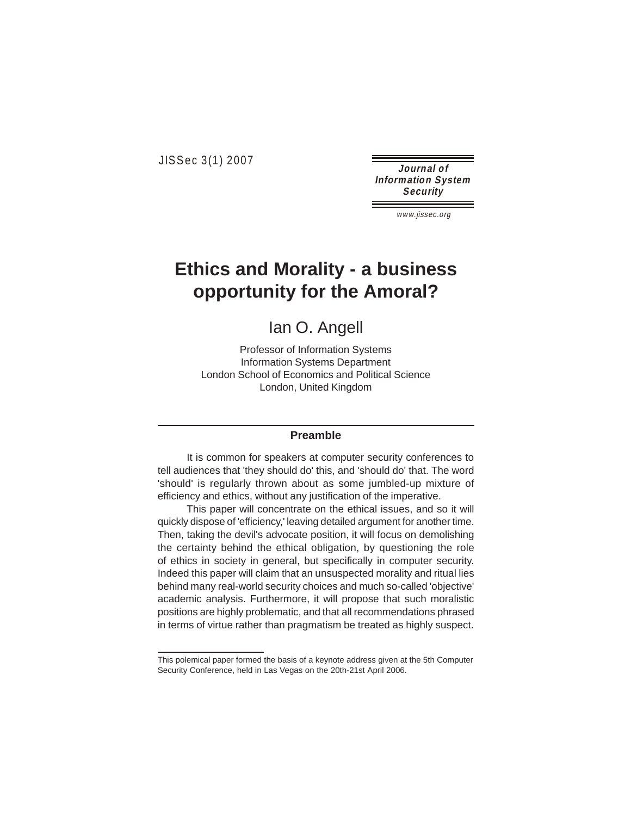JISSec 3(1) 2007

**Journal of Information System Security** 

www.jissec.org

# **Ethics and Morality - a business opportunity for the Amoral?**

Ian O. Angell

Professor of Information Systems Information Systems Department London School of Economics and Political Science London, United Kingdom

#### **Preamble**

It is common for speakers at computer security conferences to tell audiences that 'they should do' this, and 'should do' that. The word 'should' is regularly thrown about as some jumbled-up mixture of efficiency and ethics, without any justification of the imperative.

This paper will concentrate on the ethical issues, and so it will quickly dispose of 'efficiency,' leaving detailed argument for another time. Then, taking the devil's advocate position, it will focus on demolishing the certainty behind the ethical obligation, by questioning the role of ethics in society in general, but specifically in computer security. Indeed this paper will claim that an unsuspected morality and ritual lies behind many real-world security choices and much so-called 'objective' academic analysis. Furthermore, it will propose that such moralistic positions are highly problematic, and that all recommendations phrased in terms of virtue rather than pragmatism be treated as highly suspect.

This polemical paper formed the basis of a keynote address given at the 5th Computer Security Conference, held in Las Vegas on the 20th-21st April 2006.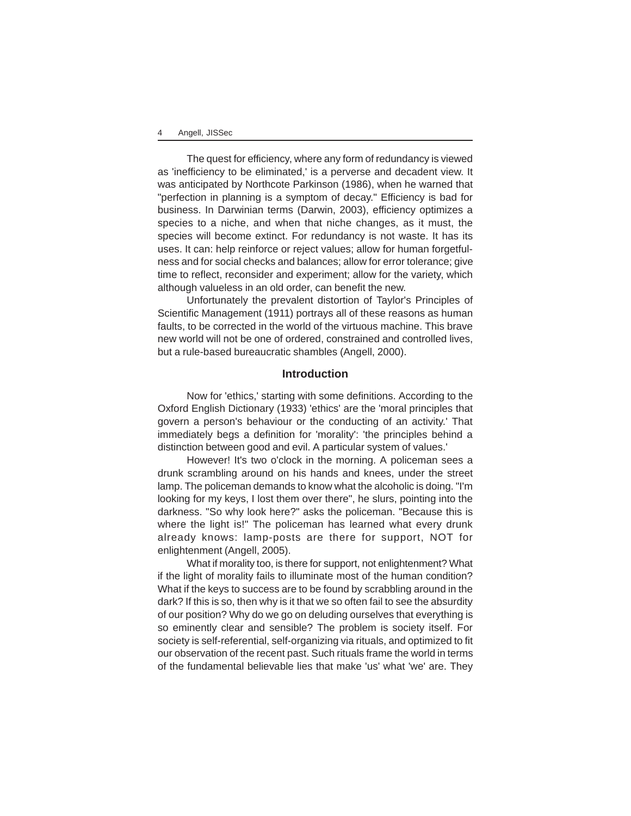The quest for efficiency, where any form of redundancy is viewed as 'inefficiency to be eliminated,' is a perverse and decadent view. It was anticipated by Northcote Parkinson (1986), when he warned that "perfection in planning is a symptom of decay." Efficiency is bad for business. In Darwinian terms (Darwin, 2003), efficiency optimizes a species to a niche, and when that niche changes, as it must, the species will become extinct. For redundancy is not waste. It has its uses. It can: help reinforce or reject values; allow for human forgetfulness and for social checks and balances; allow for error tolerance; give time to reflect, reconsider and experiment; allow for the variety, which although valueless in an old order, can benefit the new.

Unfortunately the prevalent distortion of Taylor's Principles of Scientific Management (1911) portrays all of these reasons as human faults, to be corrected in the world of the virtuous machine. This brave new world will not be one of ordered, constrained and controlled lives, but a rule-based bureaucratic shambles (Angell, 2000).

## **Introduction**

Now for 'ethics,' starting with some definitions. According to the Oxford English Dictionary (1933) 'ethics' are the 'moral principles that govern a person's behaviour or the conducting of an activity.' That immediately begs a definition for 'morality': 'the principles behind a distinction between good and evil. A particular system of values.'

However! It's two o'clock in the morning. A policeman sees a drunk scrambling around on his hands and knees, under the street lamp. The policeman demands to know what the alcoholic is doing. "I'm looking for my keys, I lost them over there", he slurs, pointing into the darkness. "So why look here?" asks the policeman. "Because this is where the light is!" The policeman has learned what every drunk already knows: lamp-posts are there for support, NOT for enlightenment (Angell, 2005).

What if morality too, is there for support, not enlightenment? What if the light of morality fails to illuminate most of the human condition? What if the keys to success are to be found by scrabbling around in the dark? If this is so, then why is it that we so often fail to see the absurdity of our position? Why do we go on deluding ourselves that everything is so eminently clear and sensible? The problem is society itself. For society is self-referential, self-organizing via rituals, and optimized to fit our observation of the recent past. Such rituals frame the world in terms of the fundamental believable lies that make 'us' what 'we' are. They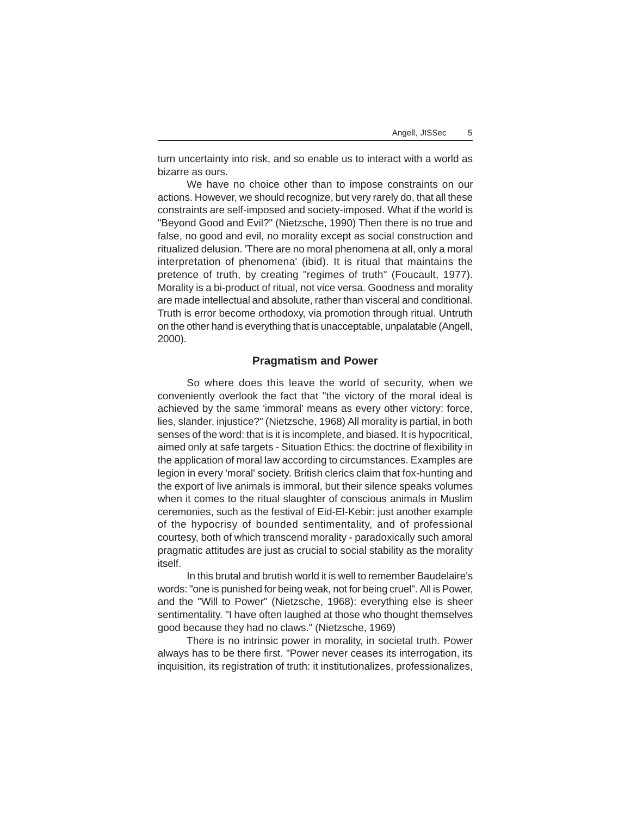turn uncertainty into risk, and so enable us to interact with a world as bizarre as ours.

We have no choice other than to impose constraints on our actions. However, we should recognize, but very rarely do, that all these constraints are self-imposed and society-imposed. What if the world is "Beyond Good and Evil?" (Nietzsche, 1990) Then there is no true and false, no good and evil, no morality except as social construction and ritualized delusion. 'There are no moral phenomena at all, only a moral interpretation of phenomena' (ibid). It is ritual that maintains the pretence of truth, by creating "regimes of truth" (Foucault, 1977). Morality is a bi-product of ritual, not vice versa. Goodness and morality are made intellectual and absolute, rather than visceral and conditional. Truth is error become orthodoxy, via promotion through ritual. Untruth on the other hand is everything that is unacceptable, unpalatable (Angell, 2000).

#### **Pragmatism and Power**

So where does this leave the world of security, when we conveniently overlook the fact that "the victory of the moral ideal is achieved by the same 'immoral' means as every other victory: force, lies, slander, injustice?" (Nietzsche, 1968) All morality is partial, in both senses of the word: that is it is incomplete, and biased. It is hypocritical, aimed only at safe targets - Situation Ethics: the doctrine of flexibility in the application of moral law according to circumstances. Examples are legion in every 'moral' society. British clerics claim that fox-hunting and the export of live animals is immoral, but their silence speaks volumes when it comes to the ritual slaughter of conscious animals in Muslim ceremonies, such as the festival of Eid-El-Kebir: just another example of the hypocrisy of bounded sentimentality, and of professional courtesy, both of which transcend morality - paradoxically such amoral pragmatic attitudes are just as crucial to social stability as the morality itself.

In this brutal and brutish world it is well to remember Baudelaire's words: "one is punished for being weak, not for being cruel". All is Power, and the "Will to Power" (Nietzsche, 1968): everything else is sheer sentimentality. "I have often laughed at those who thought themselves good because they had no claws." (Nietzsche, 1969)

There is no intrinsic power in morality, in societal truth. Power always has to be there first. "Power never ceases its interrogation, its inquisition, its registration of truth: it institutionalizes, professionalizes,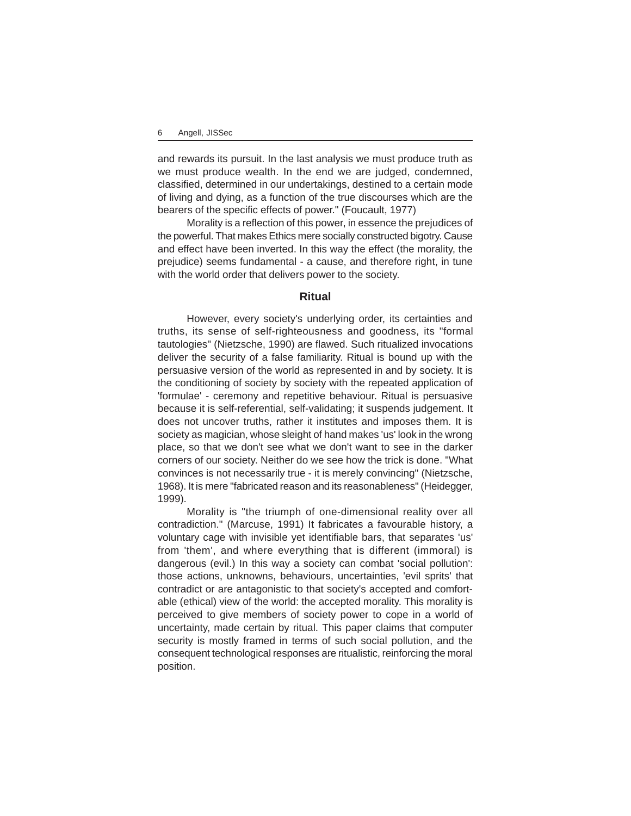and rewards its pursuit. In the last analysis we must produce truth as we must produce wealth. In the end we are judged, condemned, classified, determined in our undertakings, destined to a certain mode of living and dying, as a function of the true discourses which are the bearers of the specific effects of power." (Foucault, 1977)

Morality is a reflection of this power, in essence the prejudices of the powerful. That makes Ethics mere socially constructed bigotry. Cause and effect have been inverted. In this way the effect (the morality, the prejudice) seems fundamental - a cause, and therefore right, in tune with the world order that delivers power to the society.

## **Ritual**

However, every society's underlying order, its certainties and truths, its sense of self-righteousness and goodness, its "formal tautologies" (Nietzsche, 1990) are flawed. Such ritualized invocations deliver the security of a false familiarity. Ritual is bound up with the persuasive version of the world as represented in and by society. It is the conditioning of society by society with the repeated application of 'formulae' - ceremony and repetitive behaviour. Ritual is persuasive because it is self-referential, self-validating; it suspends judgement. It does not uncover truths, rather it institutes and imposes them. It is society as magician, whose sleight of hand makes 'us' look in the wrong place, so that we don't see what we don't want to see in the darker corners of our society. Neither do we see how the trick is done. "What convinces is not necessarily true - it is merely convincing" (Nietzsche, 1968). It is mere "fabricated reason and its reasonableness" (Heidegger, 1999).

Morality is "the triumph of one-dimensional reality over all contradiction." (Marcuse, 1991) It fabricates a favourable history, a voluntary cage with invisible yet identifiable bars, that separates 'us' from 'them', and where everything that is different (immoral) is dangerous (evil.) In this way a society can combat 'social pollution': those actions, unknowns, behaviours, uncertainties, 'evil sprits' that contradict or are antagonistic to that society's accepted and comfortable (ethical) view of the world: the accepted morality. This morality is perceived to give members of society power to cope in a world of uncertainty, made certain by ritual. This paper claims that computer security is mostly framed in terms of such social pollution, and the consequent technological responses are ritualistic, reinforcing the moral position.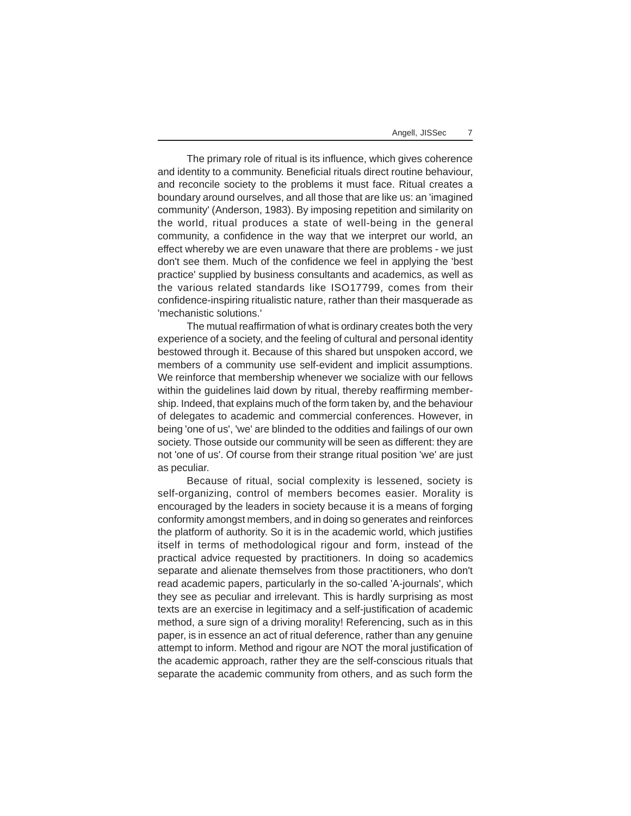The primary role of ritual is its influence, which gives coherence and identity to a community. Beneficial rituals direct routine behaviour, and reconcile society to the problems it must face. Ritual creates a boundary around ourselves, and all those that are like us: an 'imagined community' (Anderson, 1983). By imposing repetition and similarity on the world, ritual produces a state of well-being in the general community, a confidence in the way that we interpret our world, an effect whereby we are even unaware that there are problems - we just don't see them. Much of the confidence we feel in applying the 'best practice' supplied by business consultants and academics, as well as the various related standards like ISO17799, comes from their confidence-inspiring ritualistic nature, rather than their masquerade as 'mechanistic solutions.'

The mutual reaffirmation of what is ordinary creates both the very experience of a society, and the feeling of cultural and personal identity bestowed through it. Because of this shared but unspoken accord, we members of a community use self-evident and implicit assumptions. We reinforce that membership whenever we socialize with our fellows within the guidelines laid down by ritual, thereby reaffirming membership. Indeed, that explains much of the form taken by, and the behaviour of delegates to academic and commercial conferences. However, in being 'one of us', 'we' are blinded to the oddities and failings of our own society. Those outside our community will be seen as different: they are not 'one of us'. Of course from their strange ritual position 'we' are just as peculiar.

Because of ritual, social complexity is lessened, society is self-organizing, control of members becomes easier. Morality is encouraged by the leaders in society because it is a means of forging conformity amongst members, and in doing so generates and reinforces the platform of authority. So it is in the academic world, which justifies itself in terms of methodological rigour and form, instead of the practical advice requested by practitioners. In doing so academics separate and alienate themselves from those practitioners, who don't read academic papers, particularly in the so-called 'A-journals', which they see as peculiar and irrelevant. This is hardly surprising as most texts are an exercise in legitimacy and a self-justification of academic method, a sure sign of a driving morality! Referencing, such as in this paper, is in essence an act of ritual deference, rather than any genuine attempt to inform. Method and rigour are NOT the moral justification of the academic approach, rather they are the self-conscious rituals that separate the academic community from others, and as such form the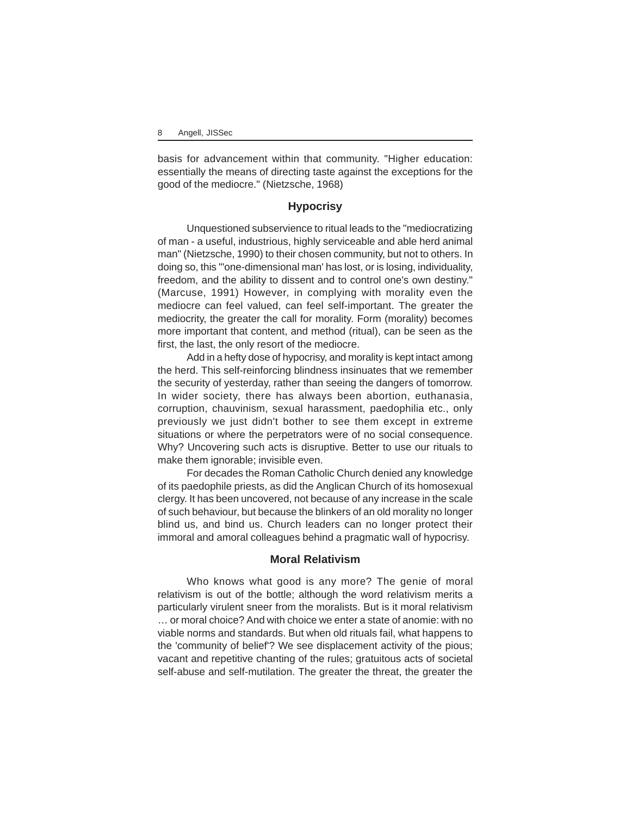basis for advancement within that community. "Higher education: essentially the means of directing taste against the exceptions for the good of the mediocre." (Nietzsche, 1968)

## **Hypocrisy**

Unquestioned subservience to ritual leads to the "mediocratizing of man - a useful, industrious, highly serviceable and able herd animal man" (Nietzsche, 1990) to their chosen community, but not to others. In doing so, this "'one-dimensional man' has lost, or is losing, individuality, freedom, and the ability to dissent and to control one's own destiny." (Marcuse, 1991) However, in complying with morality even the mediocre can feel valued, can feel self-important. The greater the mediocrity, the greater the call for morality. Form (morality) becomes more important that content, and method (ritual), can be seen as the first, the last, the only resort of the mediocre.

Add in a hefty dose of hypocrisy, and morality is kept intact among the herd. This self-reinforcing blindness insinuates that we remember the security of yesterday, rather than seeing the dangers of tomorrow. In wider society, there has always been abortion, euthanasia, corruption, chauvinism, sexual harassment, paedophilia etc., only previously we just didn't bother to see them except in extreme situations or where the perpetrators were of no social consequence. Why? Uncovering such acts is disruptive. Better to use our rituals to make them ignorable; invisible even.

For decades the Roman Catholic Church denied any knowledge of its paedophile priests, as did the Anglican Church of its homosexual clergy. It has been uncovered, not because of any increase in the scale of such behaviour, but because the blinkers of an old morality no longer blind us, and bind us. Church leaders can no longer protect their immoral and amoral colleagues behind a pragmatic wall of hypocrisy.

#### **Moral Relativism**

Who knows what good is any more? The genie of moral relativism is out of the bottle; although the word relativism merits a particularly virulent sneer from the moralists. But is it moral relativism … or moral choice? And with choice we enter a state of anomie: with no viable norms and standards. But when old rituals fail, what happens to the 'community of belief'? We see displacement activity of the pious; vacant and repetitive chanting of the rules; gratuitous acts of societal self-abuse and self-mutilation. The greater the threat, the greater the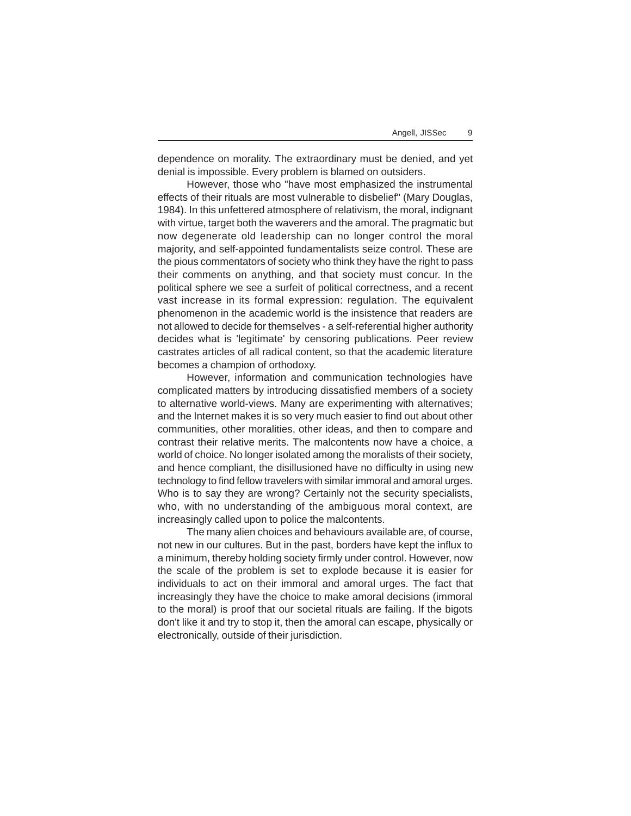dependence on morality. The extraordinary must be denied, and yet denial is impossible. Every problem is blamed on outsiders.

However, those who "have most emphasized the instrumental effects of their rituals are most vulnerable to disbelief" (Mary Douglas, 1984). In this unfettered atmosphere of relativism, the moral, indignant with virtue, target both the waverers and the amoral. The pragmatic but now degenerate old leadership can no longer control the moral majority, and self-appointed fundamentalists seize control. These are the pious commentators of society who think they have the right to pass their comments on anything, and that society must concur. In the political sphere we see a surfeit of political correctness, and a recent vast increase in its formal expression: regulation. The equivalent phenomenon in the academic world is the insistence that readers are not allowed to decide for themselves - a self-referential higher authority decides what is 'legitimate' by censoring publications. Peer review castrates articles of all radical content, so that the academic literature becomes a champion of orthodoxy.

However, information and communication technologies have complicated matters by introducing dissatisfied members of a society to alternative world-views. Many are experimenting with alternatives; and the Internet makes it is so very much easier to find out about other communities, other moralities, other ideas, and then to compare and contrast their relative merits. The malcontents now have a choice, a world of choice. No longer isolated among the moralists of their society, and hence compliant, the disillusioned have no difficulty in using new technology to find fellow travelers with similar immoral and amoral urges. Who is to say they are wrong? Certainly not the security specialists, who, with no understanding of the ambiguous moral context, are increasingly called upon to police the malcontents.

The many alien choices and behaviours available are, of course, not new in our cultures. But in the past, borders have kept the influx to a minimum, thereby holding society firmly under control. However, now the scale of the problem is set to explode because it is easier for individuals to act on their immoral and amoral urges. The fact that increasingly they have the choice to make amoral decisions (immoral to the moral) is proof that our societal rituals are failing. If the bigots don't like it and try to stop it, then the amoral can escape, physically or electronically, outside of their jurisdiction.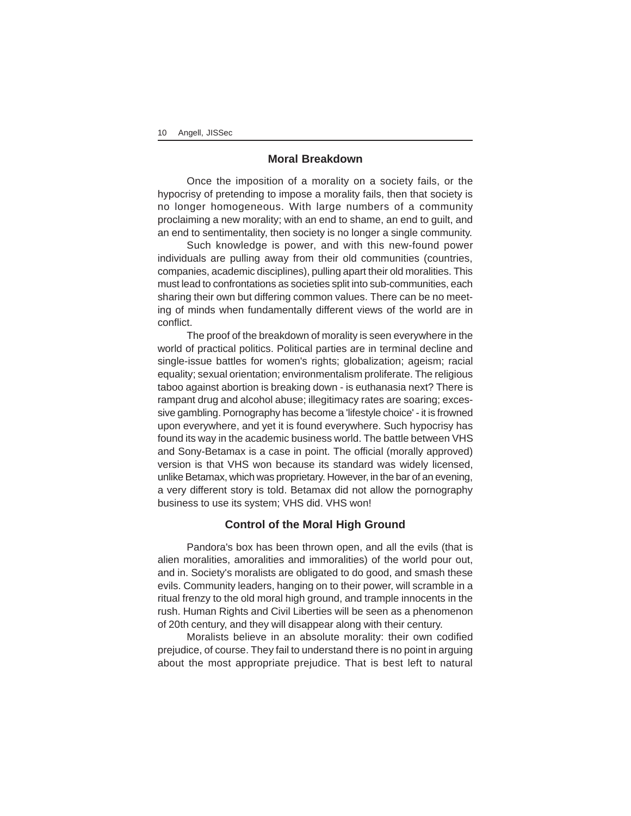## **Moral Breakdown**

Once the imposition of a morality on a society fails, or the hypocrisy of pretending to impose a morality fails, then that society is no longer homogeneous. With large numbers of a community proclaiming a new morality; with an end to shame, an end to guilt, and an end to sentimentality, then society is no longer a single community.

Such knowledge is power, and with this new-found power individuals are pulling away from their old communities (countries, companies, academic disciplines), pulling apart their old moralities. This must lead to confrontations as societies split into sub-communities, each sharing their own but differing common values. There can be no meeting of minds when fundamentally different views of the world are in conflict.

The proof of the breakdown of morality is seen everywhere in the world of practical politics. Political parties are in terminal decline and single-issue battles for women's rights; globalization; ageism; racial equality; sexual orientation; environmentalism proliferate. The religious taboo against abortion is breaking down - is euthanasia next? There is rampant drug and alcohol abuse; illegitimacy rates are soaring; excessive gambling. Pornography has become a 'lifestyle choice' - it is frowned upon everywhere, and yet it is found everywhere. Such hypocrisy has found its way in the academic business world. The battle between VHS and Sony-Betamax is a case in point. The official (morally approved) version is that VHS won because its standard was widely licensed, unlike Betamax, which was proprietary. However, in the bar of an evening, a very different story is told. Betamax did not allow the pornography business to use its system; VHS did. VHS won!

#### **Control of the Moral High Ground**

Pandora's box has been thrown open, and all the evils (that is alien moralities, amoralities and immoralities) of the world pour out, and in. Society's moralists are obligated to do good, and smash these evils. Community leaders, hanging on to their power, will scramble in a ritual frenzy to the old moral high ground, and trample innocents in the rush. Human Rights and Civil Liberties will be seen as a phenomenon of 20th century, and they will disappear along with their century.

Moralists believe in an absolute morality: their own codified prejudice, of course. They fail to understand there is no point in arguing about the most appropriate prejudice. That is best left to natural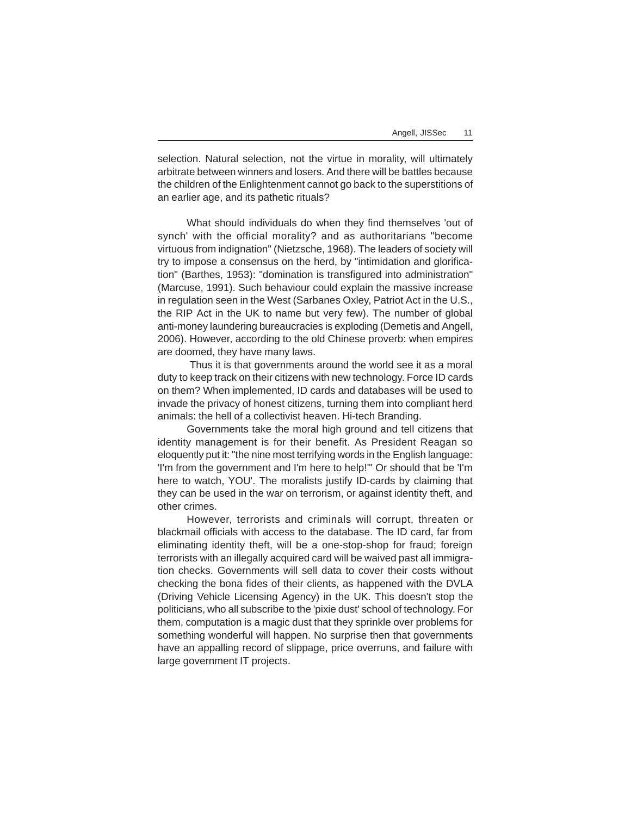selection. Natural selection, not the virtue in morality, will ultimately arbitrate between winners and losers. And there will be battles because the children of the Enlightenment cannot go back to the superstitions of an earlier age, and its pathetic rituals?

What should individuals do when they find themselves 'out of synch' with the official morality? and as authoritarians "become virtuous from indignation" (Nietzsche, 1968). The leaders of society will try to impose a consensus on the herd, by "intimidation and glorification" (Barthes, 1953): "domination is transfigured into administration" (Marcuse, 1991). Such behaviour could explain the massive increase in regulation seen in the West (Sarbanes Oxley, Patriot Act in the U.S., the RIP Act in the UK to name but very few). The number of global anti-money laundering bureaucracies is exploding (Demetis and Angell, 2006). However, according to the old Chinese proverb: when empires are doomed, they have many laws.

 Thus it is that governments around the world see it as a moral duty to keep track on their citizens with new technology. Force ID cards on them? When implemented, ID cards and databases will be used to invade the privacy of honest citizens, turning them into compliant herd animals: the hell of a collectivist heaven. Hi-tech Branding.

Governments take the moral high ground and tell citizens that identity management is for their benefit. As President Reagan so eloquently put it: "the nine most terrifying words in the English language: 'I'm from the government and I'm here to help!'" Or should that be 'I'm here to watch, YOU'. The moralists justify ID-cards by claiming that they can be used in the war on terrorism, or against identity theft, and other crimes.

However, terrorists and criminals will corrupt, threaten or blackmail officials with access to the database. The ID card, far from eliminating identity theft, will be a one-stop-shop for fraud; foreign terrorists with an illegally acquired card will be waived past all immigration checks. Governments will sell data to cover their costs without checking the bona fides of their clients, as happened with the DVLA (Driving Vehicle Licensing Agency) in the UK. This doesn't stop the politicians, who all subscribe to the 'pixie dust' school of technology. For them, computation is a magic dust that they sprinkle over problems for something wonderful will happen. No surprise then that governments have an appalling record of slippage, price overruns, and failure with large government IT projects.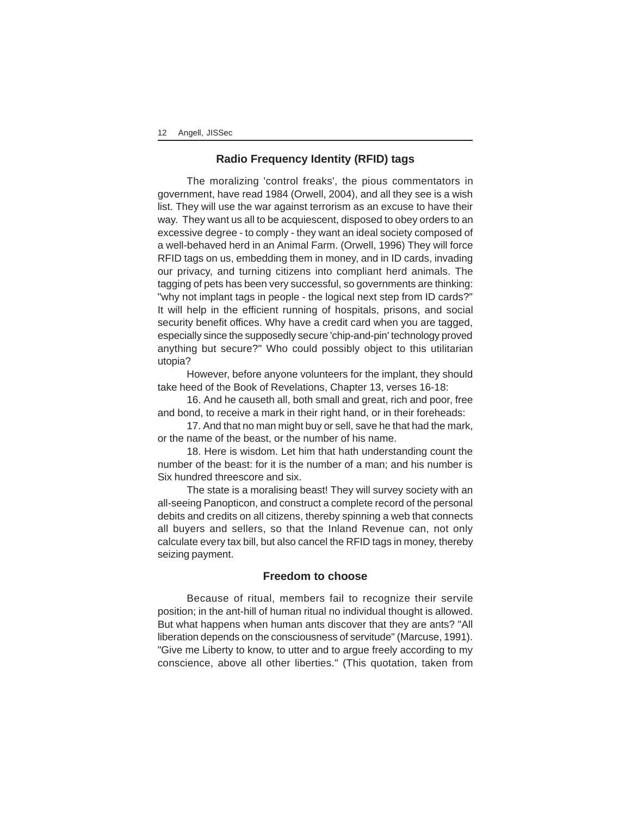## **Radio Frequency Identity (RFID) tags**

The moralizing 'control freaks', the pious commentators in government, have read 1984 (Orwell, 2004), and all they see is a wish list. They will use the war against terrorism as an excuse to have their way. They want us all to be acquiescent, disposed to obey orders to an excessive degree - to comply - they want an ideal society composed of a well-behaved herd in an Animal Farm. (Orwell, 1996) They will force RFID tags on us, embedding them in money, and in ID cards, invading our privacy, and turning citizens into compliant herd animals. The tagging of pets has been very successful, so governments are thinking: "why not implant tags in people - the logical next step from ID cards?" It will help in the efficient running of hospitals, prisons, and social security benefit offices. Why have a credit card when you are tagged, especially since the supposedly secure 'chip-and-pin' technology proved anything but secure?" Who could possibly object to this utilitarian utopia?

However, before anyone volunteers for the implant, they should take heed of the Book of Revelations, Chapter 13, verses 16-18:

16. And he causeth all, both small and great, rich and poor, free and bond, to receive a mark in their right hand, or in their foreheads:

17. And that no man might buy or sell, save he that had the mark, or the name of the beast, or the number of his name.

18. Here is wisdom. Let him that hath understanding count the number of the beast: for it is the number of a man; and his number is Six hundred threescore and six.

The state is a moralising beast! They will survey society with an all-seeing Panopticon, and construct a complete record of the personal debits and credits on all citizens, thereby spinning a web that connects all buyers and sellers, so that the Inland Revenue can, not only calculate every tax bill, but also cancel the RFID tags in money, thereby seizing payment.

## **Freedom to choose**

Because of ritual, members fail to recognize their servile position; in the ant-hill of human ritual no individual thought is allowed. But what happens when human ants discover that they are ants? "All liberation depends on the consciousness of servitude" (Marcuse, 1991). "Give me Liberty to know, to utter and to argue freely according to my conscience, above all other liberties." (This quotation, taken from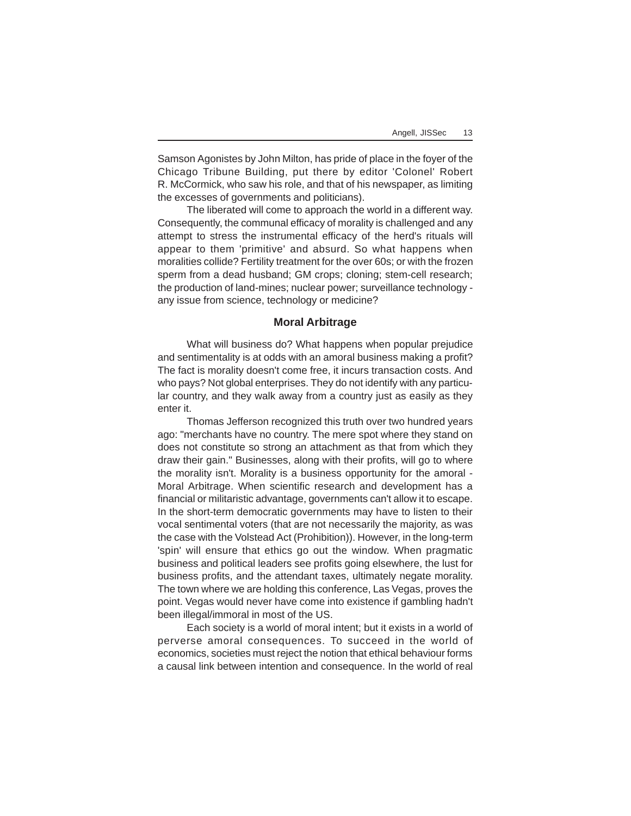Samson Agonistes by John Milton, has pride of place in the foyer of the Chicago Tribune Building, put there by editor 'Colonel' Robert R. McCormick, who saw his role, and that of his newspaper, as limiting the excesses of governments and politicians).

The liberated will come to approach the world in a different way. Consequently, the communal efficacy of morality is challenged and any attempt to stress the instrumental efficacy of the herd's rituals will appear to them 'primitive' and absurd. So what happens when moralities collide? Fertility treatment for the over 60s; or with the frozen sperm from a dead husband; GM crops; cloning; stem-cell research; the production of land-mines; nuclear power; surveillance technology any issue from science, technology or medicine?

### **Moral Arbitrage**

What will business do? What happens when popular prejudice and sentimentality is at odds with an amoral business making a profit? The fact is morality doesn't come free, it incurs transaction costs. And who pays? Not global enterprises. They do not identify with any particular country, and they walk away from a country just as easily as they enter it.

Thomas Jefferson recognized this truth over two hundred years ago: "merchants have no country. The mere spot where they stand on does not constitute so strong an attachment as that from which they draw their gain." Businesses, along with their profits, will go to where the morality isn't. Morality is a business opportunity for the amoral - Moral Arbitrage. When scientific research and development has a financial or militaristic advantage, governments can't allow it to escape. In the short-term democratic governments may have to listen to their vocal sentimental voters (that are not necessarily the majority, as was the case with the Volstead Act (Prohibition)). However, in the long-term 'spin' will ensure that ethics go out the window. When pragmatic business and political leaders see profits going elsewhere, the lust for business profits, and the attendant taxes, ultimately negate morality. The town where we are holding this conference, Las Vegas, proves the point. Vegas would never have come into existence if gambling hadn't been illegal/immoral in most of the US.

Each society is a world of moral intent; but it exists in a world of perverse amoral consequences. To succeed in the world of economics, societies must reject the notion that ethical behaviour forms a causal link between intention and consequence. In the world of real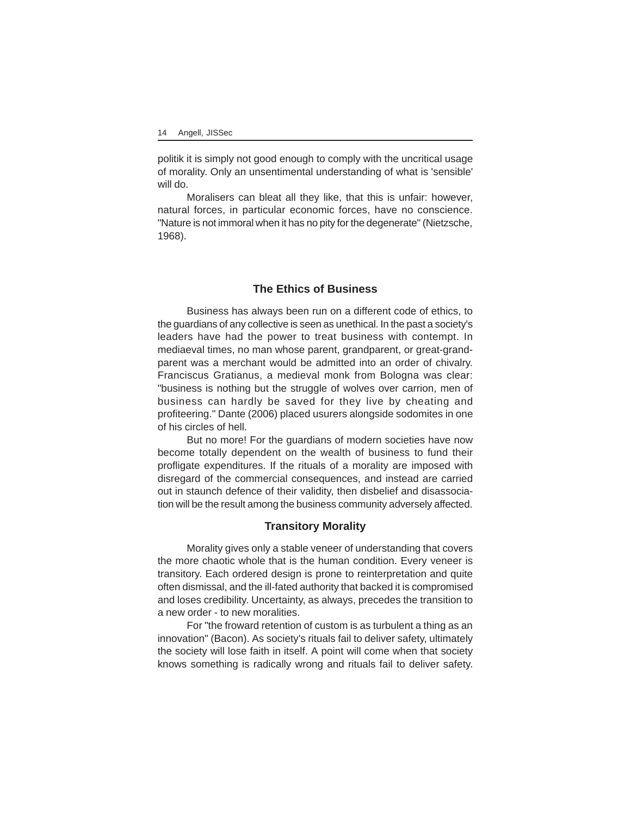politik it is simply not good enough to comply with the uncritical usage of morality. Only an unsentimental understanding of what is 'sensible' will do.

Moralisers can bleat all they like, that this is unfair: however, natural forces, in particular economic forces, have no conscience. "Nature is not immoral when it has no pity for the degenerate" (Nietzsche, 1968).

## **The Ethics of Business**

Business has always been run on a different code of ethics, to the guardians of any collective is seen as unethical. In the past a society's leaders have had the power to treat business with contempt. In mediaeval times, no man whose parent, grandparent, or great-grandparent was a merchant would be admitted into an order of chivalry. Franciscus Gratianus, a medieval monk from Bologna was clear: "business is nothing but the struggle of wolves over carrion, men of business can hardly be saved for they live by cheating and profiteering." Dante (2006) placed usurers alongside sodomites in one of his circles of hell.

But no more! For the guardians of modern societies have now become totally dependent on the wealth of business to fund their profligate expenditures. If the rituals of a morality are imposed with disregard of the commercial consequences, and instead are carried out in staunch defence of their validity, then disbelief and disassociation will be the result among the business community adversely affected.

# **Transitory Morality**

Morality gives only a stable veneer of understanding that covers the more chaotic whole that is the human condition. Every veneer is transitory. Each ordered design is prone to reinterpretation and quite often dismissal, and the ill-fated authority that backed it is compromised and loses credibility. Uncertainty, as always, precedes the transition to a new order - to new moralities.

For "the froward retention of custom is as turbulent a thing as an innovation" (Bacon). As society's rituals fail to deliver safety, ultimately the society will lose faith in itself. A point will come when that society knows something is radically wrong and rituals fail to deliver safety.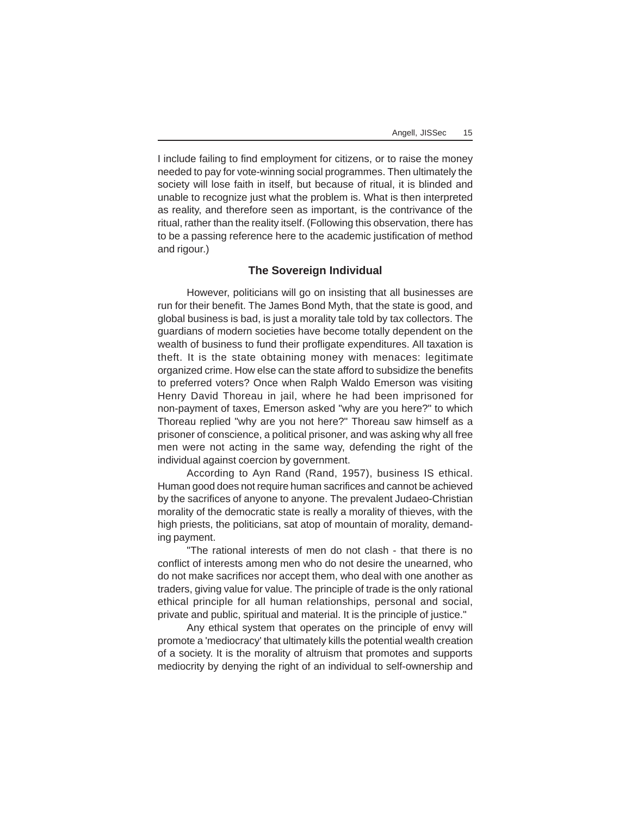I include failing to find employment for citizens, or to raise the money needed to pay for vote-winning social programmes. Then ultimately the society will lose faith in itself, but because of ritual, it is blinded and unable to recognize just what the problem is. What is then interpreted as reality, and therefore seen as important, is the contrivance of the ritual, rather than the reality itself. (Following this observation, there has to be a passing reference here to the academic justification of method and rigour.)

### **The Sovereign Individual**

However, politicians will go on insisting that all businesses are run for their benefit. The James Bond Myth, that the state is good, and global business is bad, is just a morality tale told by tax collectors. The guardians of modern societies have become totally dependent on the wealth of business to fund their profligate expenditures. All taxation is theft. It is the state obtaining money with menaces: legitimate organized crime. How else can the state afford to subsidize the benefits to preferred voters? Once when Ralph Waldo Emerson was visiting Henry David Thoreau in jail, where he had been imprisoned for non-payment of taxes, Emerson asked "why are you here?" to which Thoreau replied "why are you not here?" Thoreau saw himself as a prisoner of conscience, a political prisoner, and was asking why all free men were not acting in the same way, defending the right of the individual against coercion by government.

According to Ayn Rand (Rand, 1957), business IS ethical. Human good does not require human sacrifices and cannot be achieved by the sacrifices of anyone to anyone. The prevalent Judaeo-Christian morality of the democratic state is really a morality of thieves, with the high priests, the politicians, sat atop of mountain of morality, demanding payment.

"The rational interests of men do not clash - that there is no conflict of interests among men who do not desire the unearned, who do not make sacrifices nor accept them, who deal with one another as traders, giving value for value. The principle of trade is the only rational ethical principle for all human relationships, personal and social, private and public, spiritual and material. It is the principle of justice."

Any ethical system that operates on the principle of envy will promote a 'mediocracy' that ultimately kills the potential wealth creation of a society. It is the morality of altruism that promotes and supports mediocrity by denying the right of an individual to self-ownership and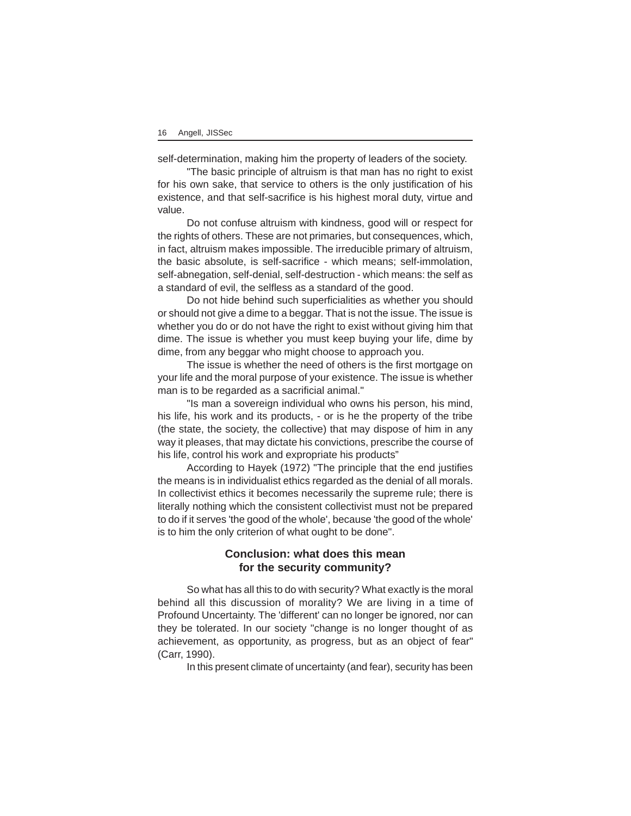self-determination, making him the property of leaders of the society.

"The basic principle of altruism is that man has no right to exist for his own sake, that service to others is the only justification of his existence, and that self-sacrifice is his highest moral duty, virtue and value.

Do not confuse altruism with kindness, good will or respect for the rights of others. These are not primaries, but consequences, which, in fact, altruism makes impossible. The irreducible primary of altruism, the basic absolute, is self-sacrifice - which means; self-immolation, self-abnegation, self-denial, self-destruction - which means: the self as a standard of evil, the selfless as a standard of the good.

Do not hide behind such superficialities as whether you should or should not give a dime to a beggar. That is not the issue. The issue is whether you do or do not have the right to exist without giving him that dime. The issue is whether you must keep buying your life, dime by dime, from any beggar who might choose to approach you.

The issue is whether the need of others is the first mortgage on your life and the moral purpose of your existence. The issue is whether man is to be regarded as a sacrificial animal."

"Is man a sovereign individual who owns his person, his mind, his life, his work and its products, - or is he the property of the tribe (the state, the society, the collective) that may dispose of him in any way it pleases, that may dictate his convictions, prescribe the course of his life, control his work and expropriate his products"

According to Hayek (1972) "The principle that the end justifies the means is in individualist ethics regarded as the denial of all morals. In collectivist ethics it becomes necessarily the supreme rule; there is literally nothing which the consistent collectivist must not be prepared to do if it serves 'the good of the whole', because 'the good of the whole' is to him the only criterion of what ought to be done".

# **Conclusion: what does this mean for the security community?**

So what has all this to do with security? What exactly is the moral behind all this discussion of morality? We are living in a time of Profound Uncertainty. The 'different' can no longer be ignored, nor can they be tolerated. In our society "change is no longer thought of as achievement, as opportunity, as progress, but as an object of fear" (Carr, 1990).

In this present climate of uncertainty (and fear), security has been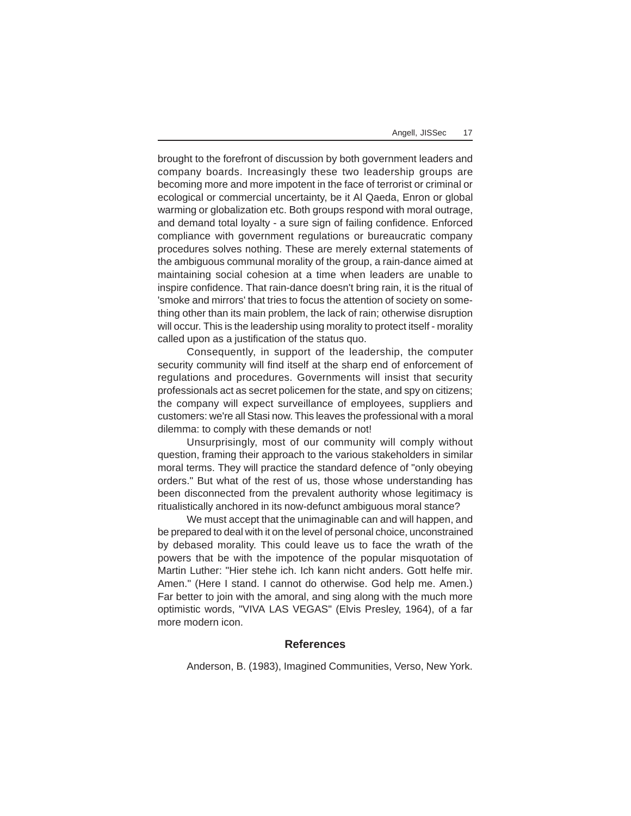brought to the forefront of discussion by both government leaders and company boards. Increasingly these two leadership groups are becoming more and more impotent in the face of terrorist or criminal or ecological or commercial uncertainty, be it Al Qaeda, Enron or global warming or globalization etc. Both groups respond with moral outrage, and demand total loyalty - a sure sign of failing confidence. Enforced compliance with government regulations or bureaucratic company procedures solves nothing. These are merely external statements of the ambiguous communal morality of the group, a rain-dance aimed at maintaining social cohesion at a time when leaders are unable to inspire confidence. That rain-dance doesn't bring rain, it is the ritual of 'smoke and mirrors' that tries to focus the attention of society on something other than its main problem, the lack of rain; otherwise disruption will occur. This is the leadership using morality to protect itself - morality called upon as a justification of the status quo.

Consequently, in support of the leadership, the computer security community will find itself at the sharp end of enforcement of regulations and procedures. Governments will insist that security professionals act as secret policemen for the state, and spy on citizens; the company will expect surveillance of employees, suppliers and customers: we're all Stasi now. This leaves the professional with a moral dilemma: to comply with these demands or not!

Unsurprisingly, most of our community will comply without question, framing their approach to the various stakeholders in similar moral terms. They will practice the standard defence of "only obeying orders." But what of the rest of us, those whose understanding has been disconnected from the prevalent authority whose legitimacy is ritualistically anchored in its now-defunct ambiguous moral stance?

We must accept that the unimaginable can and will happen, and be prepared to deal with it on the level of personal choice, unconstrained by debased morality. This could leave us to face the wrath of the powers that be with the impotence of the popular misquotation of Martin Luther: "Hier stehe ich. Ich kann nicht anders. Gott helfe mir. Amen." (Here I stand. I cannot do otherwise. God help me. Amen.) Far better to join with the amoral, and sing along with the much more optimistic words, "VIVA LAS VEGAS" (Elvis Presley, 1964), of a far more modern icon.

#### **References**

Anderson, B. (1983), Imagined Communities, Verso, New York.